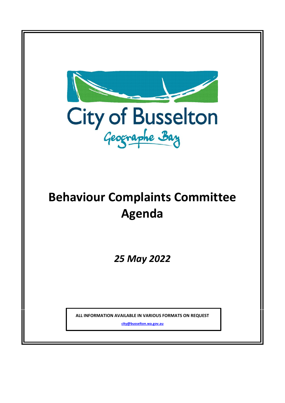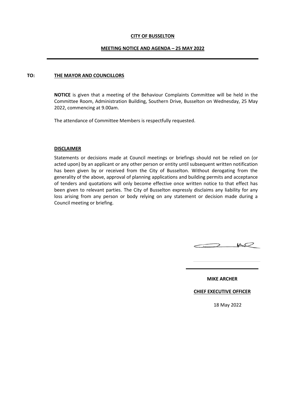### **CITY OF BUSSELTON**

### **MEETING NOTICE AND AGENDA – 25 MAY 2022**

### **TO: THE MAYOR AND COUNCILLORS**

**NOTICE** is given that a meeting of the Behaviour Complaints Committee will be held in the Committee Room, Administration Building, Southern Drive, Busselton on Wednesday, 25 May 2022, commencing at 9.00am.

The attendance of Committee Members is respectfully requested.

### **DISCLAIMER**

Statements or decisions made at Council meetings or briefings should not be relied on (or acted upon) by an applicant or any other person or entity until subsequent written notification has been given by or received from the City of Busselton. Without derogating from the generality of the above, approval of planning applications and building permits and acceptance of tenders and quotations will only become effective once written notice to that effect has been given to relevant parties. The City of Busselton expressly disclaims any liability for any loss arising from any person or body relying on any statement or decision made during a Council meeting or briefing.



**MIKE ARCHER**

**CHIEF EXECUTIVE OFFICER**

18 May 2022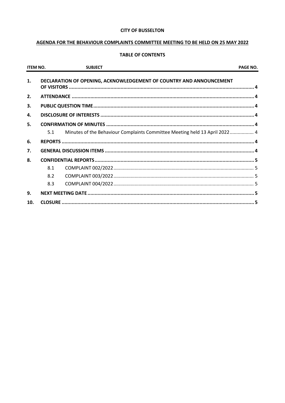### **CITY OF BUSSELTON**

# AGENDA FOR THE BEHAVIOUR COMPLAINTS COMMITTEE MEETING TO BE HELD ON 25 MAY 2022

# **TABLE OF CONTENTS**

| <b>ITEM NO.</b> |     | <b>SUBJECT</b>                                                             | <b>PAGE NO.</b> |
|-----------------|-----|----------------------------------------------------------------------------|-----------------|
| 1.              |     | DECLARATION OF OPENING, ACKNOWLEDGEMENT OF COUNTRY AND ANNOUNCEMENT        |                 |
| 2.              |     |                                                                            |                 |
| 3.              |     |                                                                            |                 |
| 4.              |     |                                                                            |                 |
| 5.              |     |                                                                            |                 |
|                 | 5.1 | Minutes of the Behaviour Complaints Committee Meeting held 13 April 2022 4 |                 |
| 6.              |     |                                                                            |                 |
| 7.              |     |                                                                            |                 |
| 8.              |     |                                                                            |                 |
|                 | 8.1 |                                                                            |                 |
|                 | 8.2 |                                                                            |                 |
|                 | 8.3 |                                                                            |                 |
| 9.              |     |                                                                            |                 |
| 10.             |     |                                                                            |                 |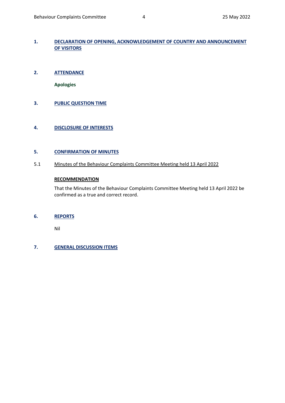# <span id="page-3-0"></span>**1. DECLARATION OF OPENING, ACKNOWLEDGEMENT OF COUNTRY AND ANNOUNCEMENT OF VISITORS**

<span id="page-3-1"></span>**2. ATTENDANCE** 

**Apologies**

<span id="page-3-2"></span>**3. PUBLIC QUESTION TIME**

# <span id="page-3-3"></span>**4. DISCLOSURE OF INTERESTS**

### <span id="page-3-4"></span>**5. CONFIRMATION OF MINUTES**

<span id="page-3-5"></span>5.1 Minutes of the Behaviour Complaints Committee Meeting held 13 April 2022

# **RECOMMENDATION**

That the Minutes of the Behaviour Complaints Committee Meeting held 13 April 2022 be confirmed as a true and correct record.

### <span id="page-3-6"></span>**6. REPORTS**

Nil

# <span id="page-3-7"></span>**7. GENERAL DISCUSSION ITEMS**